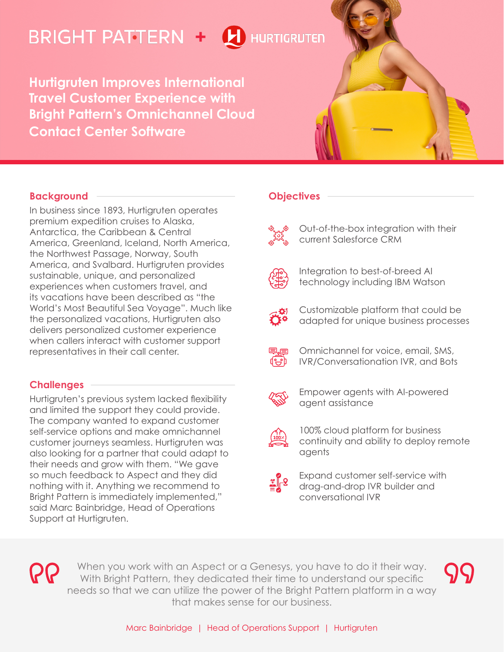# **BRIGHT PATTERN + L** HURTIGRUTEN

**Hurtigruten Improves International Travel Customer Experience with Bright Pattern's Omnichannel Cloud Contact Center Software**



## **Background**

In business since 1893, Hurtigruten operates premium expedition cruises to Alaska, Antarctica, the Caribbean & Central America, Greenland, Iceland, North America, the Northwest Passage, Norway, South America, and Svalbard. Hurtigruten provides sustainable, unique, and personalized experiences when customers travel, and its vacations have been described as "the World's Most Beautiful Sea Voyage". Much like the personalized vacations, Hurtigruten also delivers personalized customer experience when callers interact with customer support representatives in their call center.

## **Challenges**

Hurtigruten's previous system lacked flexibility and limited the support they could provide. The company wanted to expand customer self-service options and make omnichannel customer journeys seamless. Hurtigruten was also looking for a partner that could adapt to their needs and grow with them. "We gave so much feedback to Aspect and they did nothing with it. Anything we recommend to Bright Pattern is immediately implemented," said Marc Bainbridge, Head of Operations Support at Hurtigruten.

# **Objectives**

Out-of-the-box integration with their current Salesforce CRM



Integration to best-of-breed AI technology including IBM Watson



Customizable platform that could be adapted for unique business processes

Omnichannel for voice, email, SMS, IVR/Conversationation IVR, and Bots



d⊱h

Empower agents with AI-powered agent assistance



- 100% cloud platform for business continuity and ability to deploy remote agents
- Expand customer self-service with drag-and-drop IVR builder and conversational IVR

When you work with an Aspect or a Genesys, you have to do it their way. With Bright Pattern, they dedicated their time to understand our specific needs so that we can utilize the power of the Bright Pattern platform in a way that makes sense for our business.